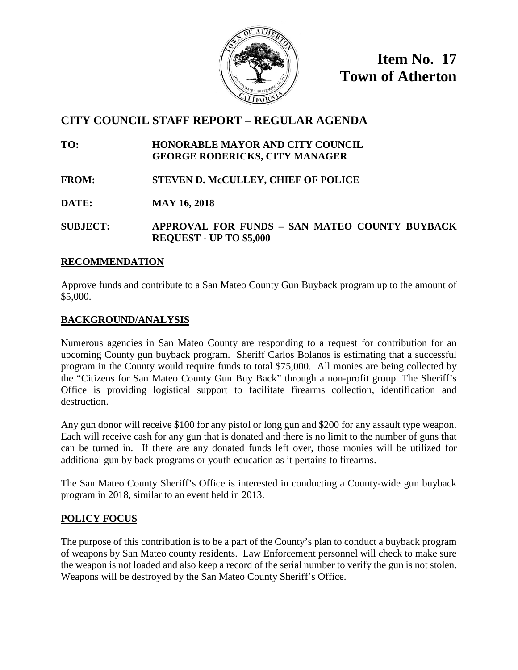

**Item No. 17 Town of Atherton**

# **CITY COUNCIL STAFF REPORT – REGULAR AGENDA**

**TO: HONORABLE MAYOR AND CITY COUNCIL GEORGE RODERICKS, CITY MANAGER**

**FROM: STEVEN D. McCULLEY, CHIEF OF POLICE**

**DATE: MAY 16, 2018**

**SUBJECT: APPROVAL FOR FUNDS – SAN MATEO COUNTY BUYBACK REQUEST - UP TO \$5,000**

#### **RECOMMENDATION**

Approve funds and contribute to a San Mateo County Gun Buyback program up to the amount of \$5,000.

#### **BACKGROUND/ANALYSIS**

Numerous agencies in San Mateo County are responding to a request for contribution for an upcoming County gun buyback program. Sheriff Carlos Bolanos is estimating that a successful program in the County would require funds to total \$75,000. All monies are being collected by the "Citizens for San Mateo County Gun Buy Back" through a non-profit group. The Sheriff's Office is providing logistical support to facilitate firearms collection, identification and destruction.

Any gun donor will receive \$100 for any pistol or long gun and \$200 for any assault type weapon. Each will receive cash for any gun that is donated and there is no limit to the number of guns that can be turned in. If there are any donated funds left over, those monies will be utilized for additional gun by back programs or youth education as it pertains to firearms.

The San Mateo County Sheriff's Office is interested in conducting a County-wide gun buyback program in 2018, similar to an event held in 2013.

#### **POLICY FOCUS**

The purpose of this contribution is to be a part of the County's plan to conduct a buyback program of weapons by San Mateo county residents. Law Enforcement personnel will check to make sure the weapon is not loaded and also keep a record of the serial number to verify the gun is not stolen. Weapons will be destroyed by the San Mateo County Sheriff's Office.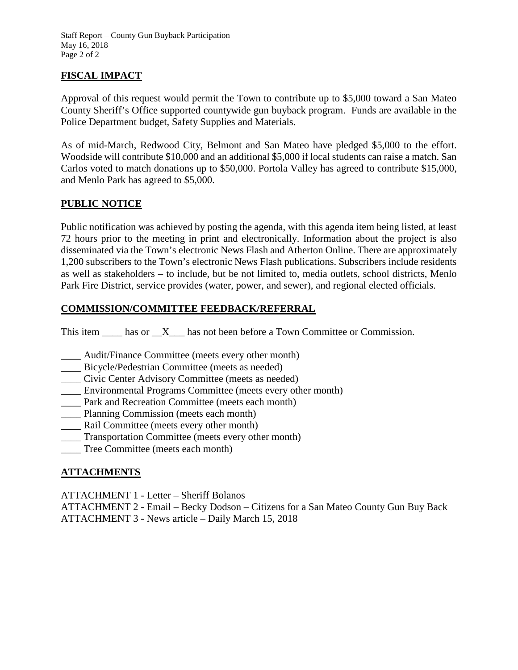Staff Report – County Gun Buyback Participation May 16, 2018 Page 2 of 2

### **FISCAL IMPACT**

Approval of this request would permit the Town to contribute up to \$5,000 toward a San Mateo County Sheriff's Office supported countywide gun buyback program. Funds are available in the Police Department budget, Safety Supplies and Materials.

As of mid-March, Redwood City, Belmont and San Mateo have pledged \$5,000 to the effort. Woodside will contribute \$10,000 and an additional \$5,000 if local students can raise a match. San Carlos voted to match donations up to \$50,000. Portola Valley has agreed to contribute \$15,000, and Menlo Park has agreed to \$5,000.

#### **PUBLIC NOTICE**

Public notification was achieved by posting the agenda, with this agenda item being listed, at least 72 hours prior to the meeting in print and electronically. Information about the project is also disseminated via the Town's electronic News Flash and Atherton Online. There are approximately 1,200 subscribers to the Town's electronic News Flash publications. Subscribers include residents as well as stakeholders – to include, but be not limited to, media outlets, school districts, Menlo Park Fire District, service provides (water, power, and sewer), and regional elected officials.

#### **COMMISSION/COMMITTEE FEEDBACK/REFERRAL**

This item has or X has not been before a Town Committee or Commission.

- \_\_\_\_ Audit/Finance Committee (meets every other month)
- \_\_\_\_ Bicycle/Pedestrian Committee (meets as needed)
- \_\_\_\_ Civic Center Advisory Committee (meets as needed)
- \_\_\_\_ Environmental Programs Committee (meets every other month)
- \_\_\_\_ Park and Recreation Committee (meets each month)
- \_\_\_\_ Planning Commission (meets each month)
- \_\_\_\_ Rail Committee (meets every other month)
- \_\_\_\_ Transportation Committee (meets every other month)
- \_\_\_\_ Tree Committee (meets each month)

#### **ATTACHMENTS**

ATTACHMENT 1 - Letter – Sheriff Bolanos

ATTACHMENT 2 - Email – Becky Dodson – Citizens for a San Mateo County Gun Buy Back ATTACHMENT 3 - News article – Daily March 15, 2018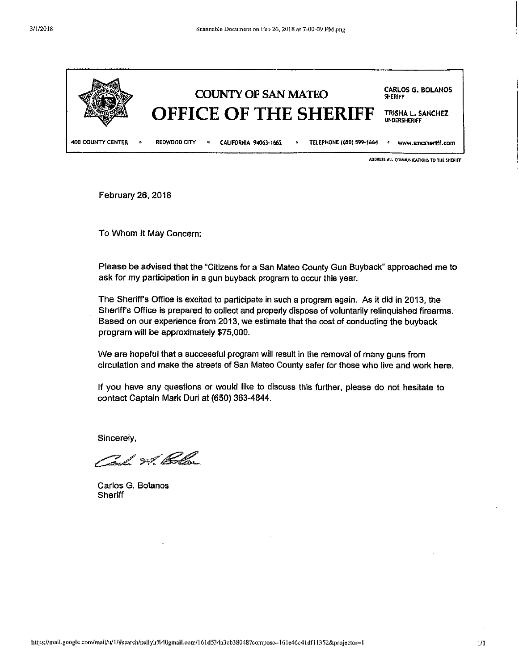

ADDRESS ALL COMMUNICATIONS TO THE SHERIFF

February 26, 2018

To Whom it May Concern:

Please be advised that the "Citizens for a San Mateo County Gun Buyback" approached me to ask for my participation in a gun buyback program to occur this year.

The Sheriff's Office is excited to participate in such a program again. As it did in 2013, the Sheriff's Office is prepared to collect and properly dispose of voluntarily relinguished firearms. Based on our experience from 2013, we estimate that the cost of conducting the buyback program will be approximately \$75,000.

We are hopeful that a successful program will result in the removal of many guns from circulation and make the streets of San Mateo County safer for those who live and work here.

If you have any questions or would like to discuss this further, please do not hesitate to contact Captain Mark Duri at (650) 363-4844.

Sincerely.

Cash St Cola

Carlos G. Bolanos Sheriff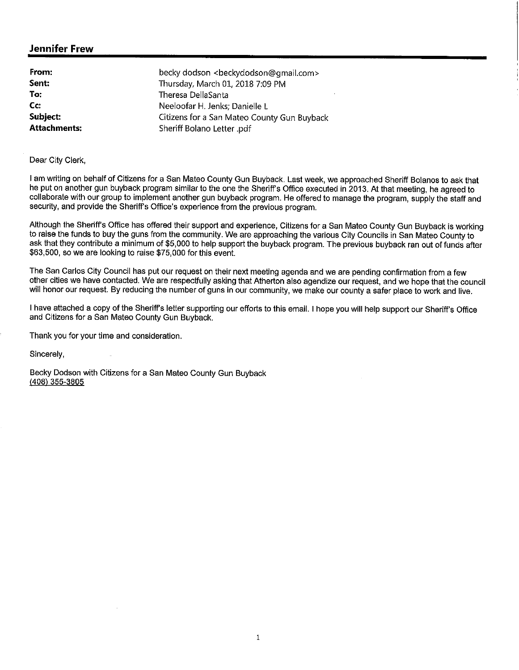#### **Jennifer Frew**

| From:            | becky dodson <beckydodson@gmail.com></beckydodson@gmail.com> |
|------------------|--------------------------------------------------------------|
| Sent:            | Thursday, March 01, 2018 7:09 PM                             |
| To:              | Theresa DellaSanta                                           |
| $C_{\mathbf{C}}$ | Neeloofar H. Jenks; Danielle L                               |
| Subject:         | Citizens for a San Mateo County Gun Buyback                  |
| Attachments:     | Sheriff Bolano Letter .pdf                                   |

Dear City Clerk,

I am writing on behalf of Citizens for a San Mateo County Gun Buyback. Last week, we approached Sheriff Bolanos to ask that he put on another gun buyback program similar to the one the Sheriff's Office executed in 2013. At that meeting, he agreed to collaborate with our group to implement another gun buyback program. He offered to manage the program, supply the staff and security, and provide the Sheriff's Office's experience from the previous program.

Although the Sheriff's Office has offered their support and experience, Citizens for a San Mateo County Gun Buyback is working to raise the funds to buy the guns from the community. We are approaching the various City Councils in San Mateo County to ask that they contribute a minimum of \$5,000 to help support the buyback program. The previous buyback ran out of funds after \$63,500, so we are looking to raise \$75,000 for this event.

The San Carlos City Council has put our request on their next meeting agenda and we are pending confirmation from a few other cities we have contacted. We are respectfully asking that Atherton also agendize our request, and we hope that the council will honor our request. By reducing the number of guns in our community, we make our county a safer place to work and live.

I have attached a copy of the Sheriff's letter supporting our efforts to this email. I hope you will help support our Sheriff's Office and Citizens for a San Mateo County Gun Buyback.

Thank you for your time and consideration.

Sincerely,

Becky Dodson with Citizens for a San Mateo County Gun Buyback  $(408)$  355-3805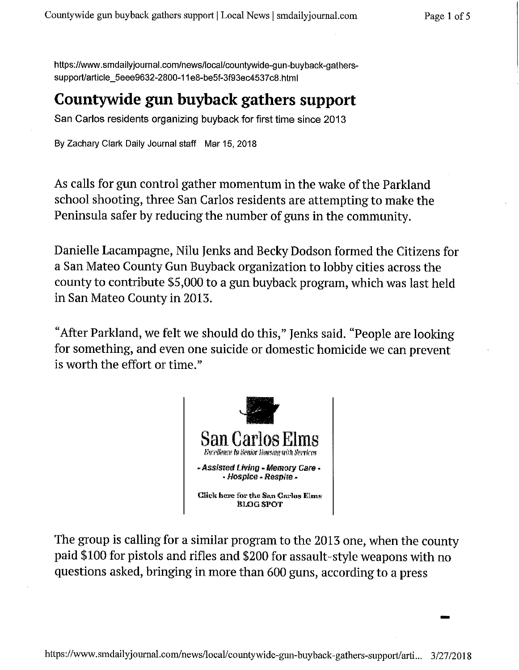https://www.smdailyjournal.com/news/local/countywide-gun-buyback-gatherssupport/article\_5eee9632-2800-11e8-be5f-3f93ec4537c8.html

# Countywide gun buyback gathers support

San Carlos residents organizing buyback for first time since 2013

By Zachary Clark Daily Journal staff Mar 15, 2018

As calls for gun control gather momentum in the wake of the Parkland school shooting, three San Carlos residents are attempting to make the Peninsula safer by reducing the number of guns in the community.

Danielle Lacampagne, Nilu Jenks and Becky Dodson formed the Citizens for a San Mateo County Gun Buyback organization to lobby cities across the county to contribute \$5,000 to a gun buyback program, which was last held in San Mateo County in 2013.

"After Parkland, we felt we should do this," Jenks said. "People are looking for something, and even one suicide or domestic homicide we can prevent is worth the effort or time."



The group is calling for a similar program to the 2013 one, when the county paid \$100 for pistols and rifles and \$200 for assault-style weapons with no questions asked, bringing in more than 600 guns, according to a press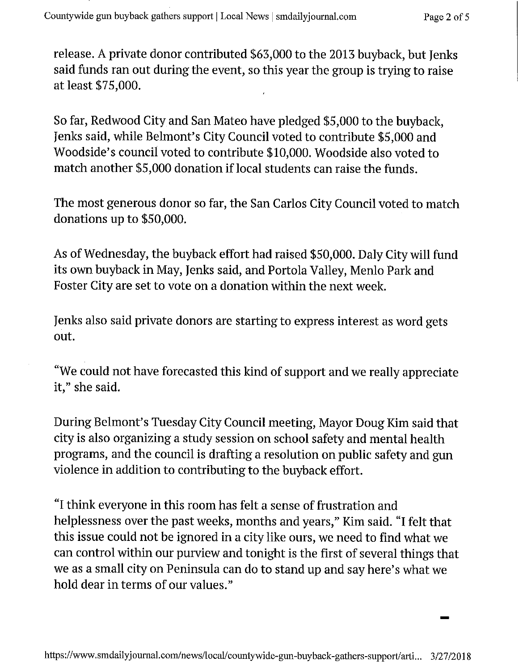release. A private donor contributed \$63,000 to the 2013 buyback, but Jenks said funds ran out during the event, so this year the group is trying to raise at least \$75,000.

So far, Redwood City and San Mateo have pledged \$5,000 to the buyback. Jenks said, while Belmont's City Council voted to contribute \$5,000 and Woodside's council voted to contribute \$10,000. Woodside also voted to match another \$5,000 donation if local students can raise the funds.

The most generous donor so far, the San Carlos City Council voted to match donations up to \$50,000.

As of Wednesday, the buyback effort had raised \$50,000. Daly City will fund its own buyback in May, Jenks said, and Portola Valley, Menlo Park and Foster City are set to vote on a donation within the next week.

Jenks also said private donors are starting to express interest as word gets out.

"We could not have forecasted this kind of support and we really appreciate it," she said.

During Belmont's Tuesday City Council meeting, Mayor Doug Kim said that city is also organizing a study session on school safety and mental health programs, and the council is drafting a resolution on public safety and gun violence in addition to contributing to the buyback effort.

"I think everyone in this room has felt a sense of frustration and helplessness over the past weeks, months and years," Kim said. "I felt that this issue could not be ignored in a city like ours, we need to find what we can control within our purview and tonight is the first of several things that we as a small city on Peninsula can do to stand up and say here's what we hold dear in terms of our values."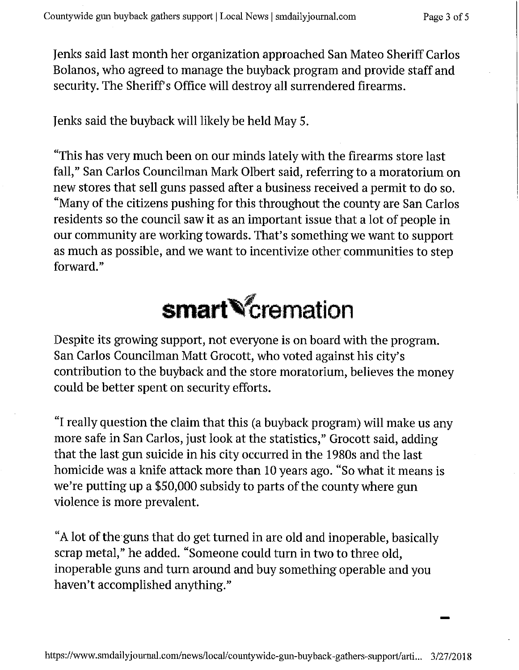Jenks said last month her organization approached San Mateo Sheriff Carlos Bolanos, who agreed to manage the buyback program and provide staff and security. The Sheriff's Office will destroy all surrendered firearms.

Jenks said the buyback will likely be held May 5.

"This has very much been on our minds lately with the firearms store last fall," San Carlos Councilman Mark Olbert said, referring to a moratorium on new stores that sell guns passed after a business received a permit to do so. "Many of the citizens pushing for this throughout the county are San Carlos residents so the council saw it as an important issue that a lot of people in our community are working towards. That's something we want to support as much as possible, and we want to incentivize other communities to step forward."



Despite its growing support, not everyone is on board with the program. San Carlos Councilman Matt Grocott, who voted against his city's contribution to the buyback and the store moratorium, believes the money could be better spent on security efforts.

"I really question the claim that this (a buyback program) will make us any more safe in San Carlos, just look at the statistics," Grocott said, adding that the last gun suicide in his city occurred in the 1980s and the last homicide was a knife attack more than 10 years ago. "So what it means is we're putting up a \$50,000 subsidy to parts of the county where gun violence is more prevalent.

"A lot of the guns that do get turned in are old and inoperable, basically scrap metal," he added. "Someone could turn in two to three old, inoperable guns and turn around and buy something operable and you haven't accomplished anything."